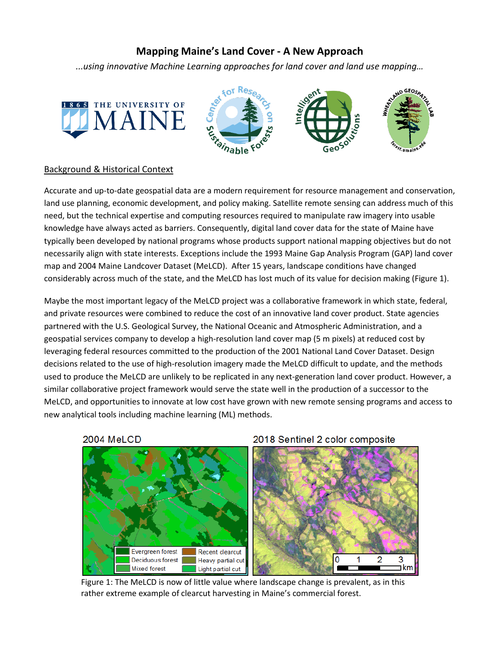# **Mapping Maine's Land Cover - A New Approach**

*...using innovative Machine Learning approaches for land cover and land use mapping…*





2018 Sentinel 2 color composite

#### Background & Historical Context

Accurate and up-to-date geospatial data are a modern requirement for resource management and conservation, land use planning, economic development, and policy making. Satellite remote sensing can address much of this need, but the technical expertise and computing resources required to manipulate raw imagery into usable knowledge have always acted as barriers. Consequently, digital land cover data for the state of Maine have typically been developed by national programs whose products support national mapping objectives but do not necessarily align with state interests. Exceptions include the 1993 Maine Gap Analysis Program (GAP) land cover map and 2004 Maine Landcover Dataset (MeLCD). After 15 years, landscape conditions have changed considerably across much of the state, and the MeLCD has lost much of its value for decision making (Figure 1).

Maybe the most important legacy of the MeLCD project was a collaborative framework in which state, federal, and private resources were combined to reduce the cost of an innovative land cover product. State agencies partnered with the U.S. Geological Survey, the National Oceanic and Atmospheric Administration, and a geospatial services company to develop a high-resolution land cover map (5 m pixels) at reduced cost by leveraging federal resources committed to the production of the 2001 National Land Cover Dataset. Design decisions related to the use of high-resolution imagery made the MeLCD difficult to update, and the methods used to produce the MeLCD are unlikely to be replicated in any next-generation land cover product. However, a similar collaborative project framework would serve the state well in the production of a successor to the MeLCD, and opportunities to innovate at low cost have grown with new remote sensing programs and access to new analytical tools including machine learning (ML) methods.





Figure 1: The MeLCD is now of little value where landscape change is prevalent, as in this rather extreme example of clearcut harvesting in Maine's commercial forest.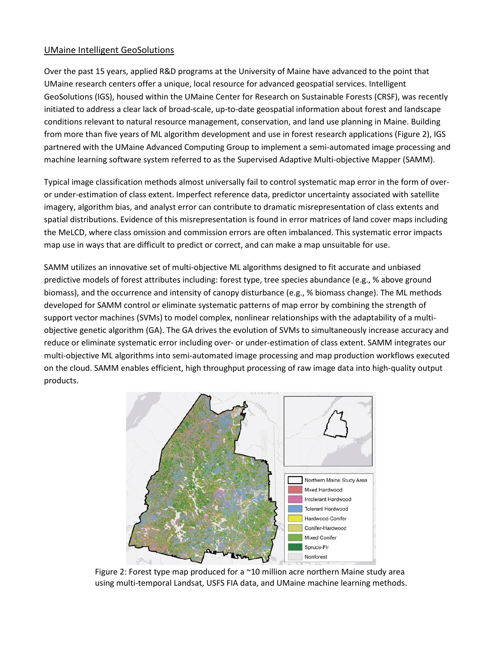### UMaine Intelligent GeoSolutions

Over the past 15 years, applied R&D programs at the University of Maine have advanced to the point that UMaine research centers offer a unique, local resource for advanced geospatial services. Intelligent GeoSolutions (IGS), housed within the UMaine Center for Research on Sustainable Forests (CRSF), was recently initiated to address a clear lack of broad-scale, up-to-date geospatial information about forest and landscape conditions relevant to natural resource management, conservation, and land use planning in Maine. Building from more than five years of ML algorithm development and use in forest research applications (Figure 2), IGS partnered with the UMaine Advanced Computing Group to implement a semi-automated image processing and machine learning software system referred to as the Supervised Adaptive Multi-objective Mapper (SAMM).

Typical image classification methods almost universally fail to control systematic map error in the form of overor under-estimation of class extent. Imperfect reference data, predictor uncertainty associated with satellite imagery, algorithm bias, and analyst error can contribute to dramatic misrepresentation of class extents and spatial distributions. Evidence of this misrepresentation is found in error matrices of land cover maps including the MeLCD, where class omission and commission errors are often imbalanced. This systematic error impacts map use in ways that are difficult to predict or correct, and can make a map unsuitable for use.

SAMM utilizes an innovative set of multi-objective ML algorithms designed to fit accurate and unbiased predictive models of forest attributes including: forest type, tree species abundance (e.g., % above ground biomass), and the occurrence and intensity of canopy disturbance (e.g., % biomass change). The ML methods developed for SAMM control or eliminate systematic patterns of map error by combining the strength of support vector machines (SVMs) to model complex, nonlinear relationships with the adaptability of a multiobjective genetic algorithm (GA). The GA drives the evolution of SVMs to simultaneously increase accuracy and reduce or eliminate systematic error including over- or under-estimation of class extent. SAMM integrates our multi-objective ML algorithms into semi-automated image processing and map production workflows executed on the cloud. SAMM enables efficient, high throughput processing of raw image data into high-quality output products.



Figure 2: Forest type map produced for a  $\sim$  10 million acre northern Maine study area using multi-temporal Landsat, USFS FIA data, and UMaine machine learning methods.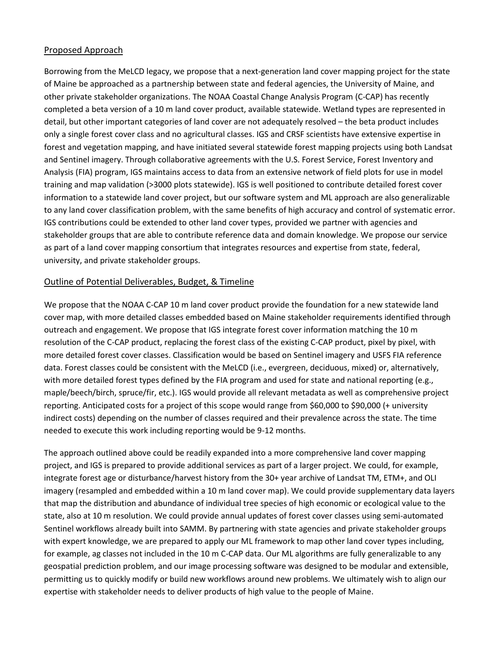#### Proposed Approach

Borrowing from the MeLCD legacy, we propose that a next-generation land cover mapping project for the state of Maine be approached as a partnership between state and federal agencies, the University of Maine, and other private stakeholder organizations. The NOAA Coastal Change Analysis Program (C-CAP) has recently completed a beta version of a 10 m land cover product, available statewide. Wetland types are represented in detail, but other important categories of land cover are not adequately resolved – the beta product includes only a single forest cover class and no agricultural classes. IGS and CRSF scientists have extensive expertise in forest and vegetation mapping, and have initiated several statewide forest mapping projects using both Landsat and Sentinel imagery. Through collaborative agreements with the U.S. Forest Service, Forest Inventory and Analysis (FIA) program, IGS maintains access to data from an extensive network of field plots for use in model training and map validation (>3000 plots statewide). IGS is well positioned to contribute detailed forest cover information to a statewide land cover project, but our software system and ML approach are also generalizable to any land cover classification problem, with the same benefits of high accuracy and control of systematic error. IGS contributions could be extended to other land cover types, provided we partner with agencies and stakeholder groups that are able to contribute reference data and domain knowledge. We propose our service as part of a land cover mapping consortium that integrates resources and expertise from state, federal, university, and private stakeholder groups.

### Outline of Potential Deliverables, Budget, & Timeline

We propose that the NOAA C-CAP 10 m land cover product provide the foundation for a new statewide land cover map, with more detailed classes embedded based on Maine stakeholder requirements identified through outreach and engagement. We propose that IGS integrate forest cover information matching the 10 m resolution of the C-CAP product, replacing the forest class of the existing C-CAP product, pixel by pixel, with more detailed forest cover classes. Classification would be based on Sentinel imagery and USFS FIA reference data. Forest classes could be consistent with the MeLCD (i.e., evergreen, deciduous, mixed) or, alternatively, with more detailed forest types defined by the FIA program and used for state and national reporting (e.g., maple/beech/birch, spruce/fir, etc.). IGS would provide all relevant metadata as well as comprehensive project reporting. Anticipated costs for a project of this scope would range from \$60,000 to \$90,000 (+ university indirect costs) depending on the number of classes required and their prevalence across the state. The time needed to execute this work including reporting would be 9-12 months.

The approach outlined above could be readily expanded into a more comprehensive land cover mapping project, and IGS is prepared to provide additional services as part of a larger project. We could, for example, integrate forest age or disturbance/harvest history from the 30+ year archive of Landsat TM, ETM+, and OLI imagery (resampled and embedded within a 10 m land cover map). We could provide supplementary data layers that map the distribution and abundance of individual tree species of high economic or ecological value to the state, also at 10 m resolution. We could provide annual updates of forest cover classes using semi-automated Sentinel workflows already built into SAMM. By partnering with state agencies and private stakeholder groups with expert knowledge, we are prepared to apply our ML framework to map other land cover types including, for example, ag classes not included in the 10 m C-CAP data. Our ML algorithms are fully generalizable to any geospatial prediction problem, and our image processing software was designed to be modular and extensible, permitting us to quickly modify or build new workflows around new problems. We ultimately wish to align our expertise with stakeholder needs to deliver products of high value to the people of Maine.